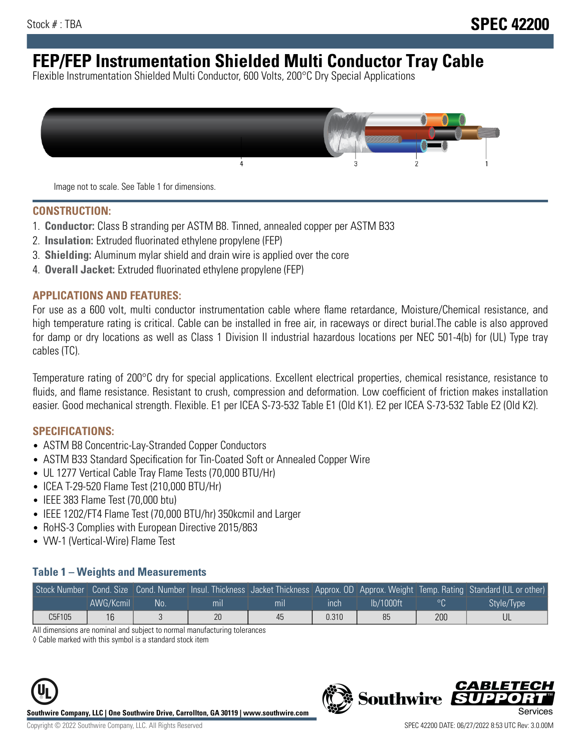# **FEP/FEP Instrumentation Shielded Multi Conductor Tray Cable**

Flexible Instrumentation Shielded Multi Conductor, 600 Volts, 200°C Dry Special Applications



Image not to scale. See Table 1 for dimensions.

#### **CONSTRUCTION:**

- 1. **Conductor:** Class B stranding per ASTM B8. Tinned, annealed copper per ASTM B33
- 2. **Insulation:** Extruded fluorinated ethylene propylene (FEP)
- 3. **Shielding:** Aluminum mylar shield and drain wire is applied over the core
- 4. **Overall Jacket:** Extruded fluorinated ethylene propylene (FEP)

#### **APPLICATIONS AND FEATURES:**

For use as a 600 volt, multi conductor instrumentation cable where flame retardance, Moisture/Chemical resistance, and high temperature rating is critical. Cable can be installed in free air, in raceways or direct burial.The cable is also approved for damp or dry locations as well as Class 1 Division II industrial hazardous locations per NEC 501-4(b) for (UL) Type tray cables (TC).

Temperature rating of 200°C dry for special applications. Excellent electrical properties, chemical resistance, resistance to fluids, and flame resistance. Resistant to crush, compression and deformation. Low coefficient of friction makes installation easier. Good mechanical strength. Flexible. E1 per ICEA S-73-532 Table E1 (Old K1). E2 per ICEA S-73-532 Table E2 (Old K2).

#### **SPECIFICATIONS:**

- ASTM B8 Concentric-Lay-Stranded Copper Conductors
- ASTM B33 Standard Specification for Tin-Coated Soft or Annealed Copper Wire
- UL 1277 Vertical Cable Tray Flame Tests (70,000 BTU/Hr)
- ICEA T-29-520 Flame Test (210,000 BTU/Hr)
- IEEE 383 Flame Test (70,000 btu)
- IEEE 1202/FT4 Flame Test (70,000 BTU/hr) 350kcmil and Larger
- RoHS-3 Complies with European Directive 2015/863
- VW-1 (Vertical-Wire) Flame Test

#### **Table 1 – Weights and Measurements**

|        |           |      |                |                |       |           |     | Stock Number Cond. Size Cond. Number Insul. Thickness Jacket Thickness Approx. OD Approx. Weight Temp. Rating Standard (UL or other) |
|--------|-----------|------|----------------|----------------|-------|-----------|-----|--------------------------------------------------------------------------------------------------------------------------------------|
|        | AWG/Kcmil | .No: | m <sub>l</sub> | m <sub>l</sub> | ınch  | Ib/1000ft |     | Style/Type                                                                                                                           |
| C5F105 | 16        |      | 20             | 45             | 0.310 | 85        | 200 |                                                                                                                                      |

All dimensions are nominal and subject to normal manufacturing tolerances

◊ Cable marked with this symbol is a standard stock item





**Southwire** 

CARLET